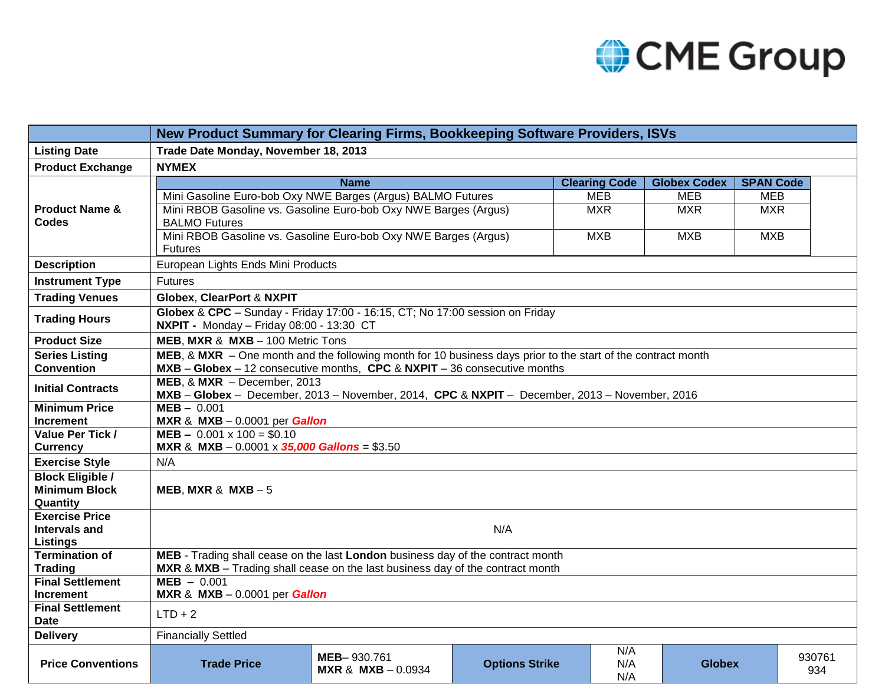

|                                                 | New Product Summary for Clearing Firms, Bookkeeping Software Providers, ISVs                                                   |                                                                                                           |                       |                      |                     |                  |               |  |  |  |  |
|-------------------------------------------------|--------------------------------------------------------------------------------------------------------------------------------|-----------------------------------------------------------------------------------------------------------|-----------------------|----------------------|---------------------|------------------|---------------|--|--|--|--|
| <b>Listing Date</b>                             | Trade Date Monday, November 18, 2013                                                                                           |                                                                                                           |                       |                      |                     |                  |               |  |  |  |  |
| <b>Product Exchange</b>                         | <b>NYMEX</b>                                                                                                                   |                                                                                                           |                       |                      |                     |                  |               |  |  |  |  |
| <b>Product Name &amp;</b><br><b>Codes</b>       |                                                                                                                                | <b>Name</b>                                                                                               |                       | <b>Clearing Code</b> | <b>Globex Codex</b> | <b>SPAN Code</b> |               |  |  |  |  |
|                                                 | Mini Gasoline Euro-bob Oxy NWE Barges (Argus) BALMO Futures                                                                    |                                                                                                           |                       | <b>MEB</b>           | <b>MEB</b>          | <b>MEB</b>       |               |  |  |  |  |
|                                                 |                                                                                                                                | Mini RBOB Gasoline vs. Gasoline Euro-bob Oxy NWE Barges (Argus)<br><b>MXR</b><br><b>MXR</b><br><b>MXR</b> |                       |                      |                     |                  |               |  |  |  |  |
|                                                 | <b>BALMO Futures</b>                                                                                                           |                                                                                                           |                       |                      |                     |                  |               |  |  |  |  |
|                                                 | Mini RBOB Gasoline vs. Gasoline Euro-bob Oxy NWE Barges (Argus)                                                                | <b>MXB</b>                                                                                                | <b>MXB</b>            | <b>MXB</b>           |                     |                  |               |  |  |  |  |
|                                                 | <b>Futures</b>                                                                                                                 |                                                                                                           |                       |                      |                     |                  |               |  |  |  |  |
| <b>Description</b>                              | European Lights Ends Mini Products                                                                                             |                                                                                                           |                       |                      |                     |                  |               |  |  |  |  |
| <b>Instrument Type</b>                          | <b>Futures</b>                                                                                                                 |                                                                                                           |                       |                      |                     |                  |               |  |  |  |  |
| <b>Trading Venues</b>                           | <b>Globex, ClearPort &amp; NXPIT</b>                                                                                           |                                                                                                           |                       |                      |                     |                  |               |  |  |  |  |
| <b>Trading Hours</b>                            | Globex & CPC - Sunday - Friday 17:00 - 16:15, CT; No 17:00 session on Friday<br>NXPIT - Monday - Friday 08:00 - 13:30 CT       |                                                                                                           |                       |                      |                     |                  |               |  |  |  |  |
| <b>Product Size</b>                             | MEB, MXR & MXB - 100 Metric Tons                                                                                               |                                                                                                           |                       |                      |                     |                  |               |  |  |  |  |
| <b>Series Listing</b>                           | MEB, & MXR - One month and the following month for 10 business days prior to the start of the contract month                   |                                                                                                           |                       |                      |                     |                  |               |  |  |  |  |
| <b>Convention</b>                               | MXB - Globex - 12 consecutive months, CPC & NXPIT - 36 consecutive months                                                      |                                                                                                           |                       |                      |                     |                  |               |  |  |  |  |
| <b>Initial Contracts</b>                        | MEB, $&$ MXR - December, 2013<br>MXB - Globex - December, 2013 - November, 2014, CPC & NXPIT - December, 2013 - November, 2016 |                                                                                                           |                       |                      |                     |                  |               |  |  |  |  |
| <b>Minimum Price</b>                            | $MEB - 0.001$                                                                                                                  |                                                                                                           |                       |                      |                     |                  |               |  |  |  |  |
| <b>Increment</b>                                | MXR & MXB $-0.0001$ per Gallon                                                                                                 |                                                                                                           |                       |                      |                     |                  |               |  |  |  |  |
| Value Per Tick /                                | $MEB - 0.001 \times 100 = $0.10$                                                                                               |                                                                                                           |                       |                      |                     |                  |               |  |  |  |  |
| <b>Currency</b>                                 | MXR & MXB $-0.0001 \times 35,000$ Gallons = \$3.50                                                                             |                                                                                                           |                       |                      |                     |                  |               |  |  |  |  |
| <b>Exercise Style</b>                           | N/A                                                                                                                            |                                                                                                           |                       |                      |                     |                  |               |  |  |  |  |
| <b>Block Eligible /</b><br><b>Minimum Block</b> |                                                                                                                                |                                                                                                           |                       |                      |                     |                  |               |  |  |  |  |
| Quantity                                        | MEB, MXR & MXB $-5$                                                                                                            |                                                                                                           |                       |                      |                     |                  |               |  |  |  |  |
| <b>Exercise Price</b>                           |                                                                                                                                |                                                                                                           |                       |                      |                     |                  |               |  |  |  |  |
| <b>Intervals and</b>                            | N/A                                                                                                                            |                                                                                                           |                       |                      |                     |                  |               |  |  |  |  |
| <b>Listings</b>                                 |                                                                                                                                |                                                                                                           |                       |                      |                     |                  |               |  |  |  |  |
| <b>Termination of</b>                           | MEB - Trading shall cease on the last London business day of the contract month                                                |                                                                                                           |                       |                      |                     |                  |               |  |  |  |  |
| <b>Trading</b>                                  | MXR & MXB - Trading shall cease on the last business day of the contract month                                                 |                                                                                                           |                       |                      |                     |                  |               |  |  |  |  |
| <b>Final Settlement</b>                         | $MEB - 0.001$                                                                                                                  |                                                                                                           |                       |                      |                     |                  |               |  |  |  |  |
| <b>Increment</b>                                |                                                                                                                                | MXR & MXB $-0.0001$ per Gallon                                                                            |                       |                      |                     |                  |               |  |  |  |  |
| <b>Final Settlement</b><br><b>Date</b>          | $LTD + 2$                                                                                                                      |                                                                                                           |                       |                      |                     |                  |               |  |  |  |  |
| <b>Delivery</b>                                 | <b>Financially Settled</b>                                                                                                     |                                                                                                           |                       |                      |                     |                  |               |  |  |  |  |
| <b>Price Conventions</b>                        | <b>Trade Price</b>                                                                                                             | MEB-930.761<br><b>MXR &amp; MXB</b> $- 0.0934$                                                            | <b>Options Strike</b> | N/A<br>N/A<br>N/A    | <b>Globex</b>       |                  | 930761<br>934 |  |  |  |  |